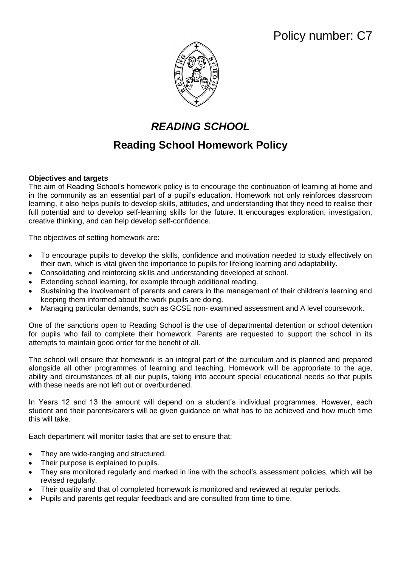

## *READING SCHOOL*

# **Reading School Homework Policy**

## **Objectives and targets**

The aim of Reading School's homework policy is to encourage the continuation of learning at home and in the community as an essential part of a pupil's education. Homework not only reinforces classroom learning, it also helps pupils to develop skills, attitudes, and understanding that they need to realise their full potential and to develop self-learning skills for the future. It encourages exploration, investigation, creative thinking, and can help develop self-confidence.

The objectives of setting homework are:

- To encourage pupils to develop the skills, confidence and motivation needed to study effectively on their own, which is vital given the importance to pupils for lifelong learning and adaptability.
- Consolidating and reinforcing skills and understanding developed at school.
- Extending school learning, for example through additional reading.
- Sustaining the involvement of parents and carers in the management of their children's learning and keeping them informed about the work pupils are doing.
- Managing particular demands, such as GCSE non- examined assessment and A level coursework.

One of the sanctions open to Reading School is the use of departmental detention or school detention for pupils who fail to complete their homework. Parents are requested to support the school in its attempts to maintain good order for the benefit of all.

The school will ensure that homework is an integral part of the curriculum and is planned and prepared alongside all other programmes of learning and teaching. Homework will be appropriate to the age, ability and circumstances of all our pupils, taking into account special educational needs so that pupils with these needs are not left out or overburdened.

In Years 12 and 13 the amount will depend on a student's individual programmes. However, each student and their parents/carers will be given guidance on what has to be achieved and how much time this will take.

Each department will monitor tasks that are set to ensure that:

- They are wide-ranging and structured.
- Their purpose is explained to pupils.
- They are monitored regularly and marked in line with the school's assessment policies, which will be revised regularly.
- Their quality and that of completed homework is monitored and reviewed at regular periods.
- Pupils and parents get regular feedback and are consulted from time to time.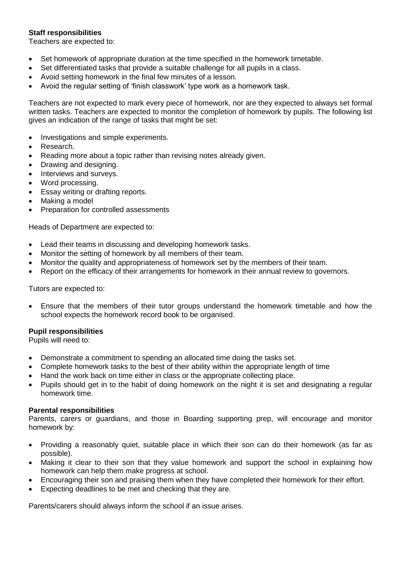## **Staff responsibilities**

Teachers are expected to:

- Set homework of appropriate duration at the time specified in the homework timetable.
- Set differentiated tasks that provide a suitable challenge for all pupils in a class.
- Avoid setting homework in the final few minutes of a lesson.
- Avoid the regular setting of 'finish classwork' type work as a homework task.

Teachers are not expected to mark every piece of homework, nor are they expected to always set formal written tasks. Teachers are expected to monitor the completion of homework by pupils. The following list gives an indication of the range of tasks that might be set:

- Investigations and simple experiments.
- Research.
- Reading more about a topic rather than revising notes already given.
- Drawing and designing.
- Interviews and surveys.
- Word processing.
- **Essay writing or drafting reports.**
- Making a model
- Preparation for controlled assessments

Heads of Department are expected to:

- Lead their teams in discussing and developing homework tasks.
- Monitor the setting of homework by all members of their team.
- Monitor the quality and appropriateness of homework set by the members of their team.
- Report on the efficacy of their arrangements for homework in their annual review to governors.

Tutors are expected to:

 Ensure that the members of their tutor groups understand the homework timetable and how the school expects the homework record book to be organised.

#### **Pupil responsibilities**

Pupils will need to:

- Demonstrate a commitment to spending an allocated time doing the tasks set.
- Complete homework tasks to the best of their ability within the appropriate length of time
- Hand the work back on time either in class or the appropriate collecting place.
- Pupils should get in to the habit of doing homework on the night it is set and designating a regular homework time.

#### **Parental responsibilities**

Parents, carers or guardians, and those in Boarding supporting prep, will encourage and monitor homework by:

- Providing a reasonably quiet, suitable place in which their son can do their homework (as far as possible).
- Making it clear to their son that they value homework and support the school in explaining how homework can help them make progress at school.
- Encouraging their son and praising them when they have completed their homework for their effort.
- Expecting deadlines to be met and checking that they are.

Parents/carers should always inform the school if an issue arises.